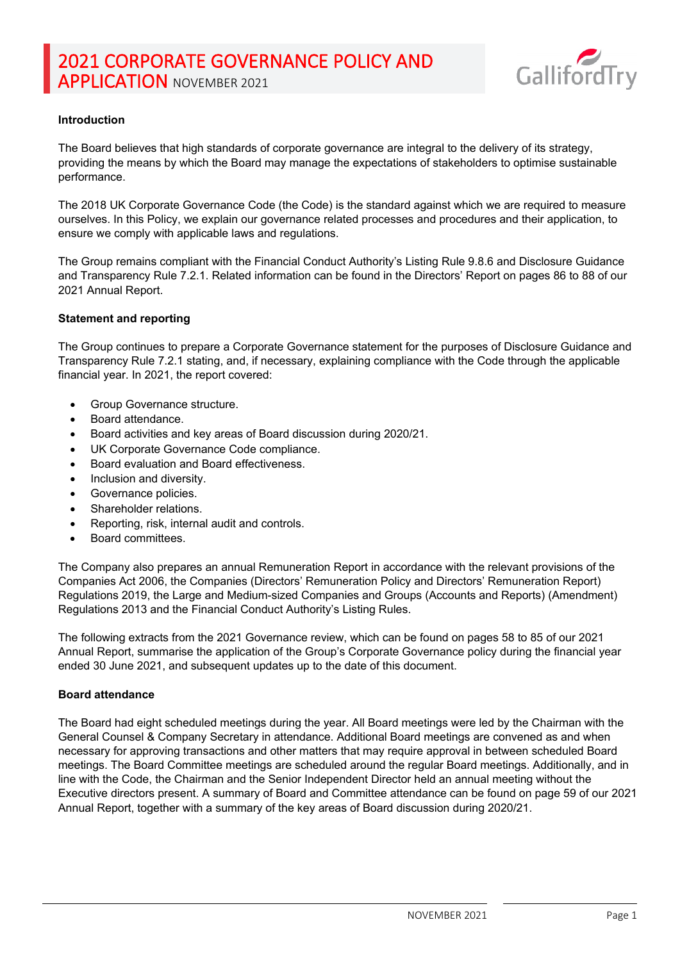

## **Introduction**

The Board believes that high standards of corporate governance are integral to the delivery of its strategy, providing the means by which the Board may manage the expectations of stakeholders to optimise sustainable performance.

The 2018 UK Corporate Governance Code (the Code) is the standard against which we are required to measure ourselves. In this Policy, we explain our governance related processes and procedures and their application, to ensure we comply with applicable laws and regulations.

The Group remains compliant with the Financial Conduct Authority's Listing Rule 9.8.6 and Disclosure Guidance and Transparency Rule 7.2.1. Related information can be found in the Directors' Report on pages 86 to 88 of our 2021 Annual Report.

### **Statement and reporting**

The Group continues to prepare a Corporate Governance statement for the purposes of Disclosure Guidance and Transparency Rule 7.2.1 stating, and, if necessary, explaining compliance with the Code through the applicable financial year. In 2021, the report covered:

- Group Governance structure.
- Board attendance.
- Board activities and key areas of Board discussion during 2020/21.
- UK Corporate Governance Code compliance.
- Board evaluation and Board effectiveness.
- Inclusion and diversity.
- Governance policies.
- Shareholder relations.
- Reporting, risk, internal audit and controls.
- Board committees.

The Company also prepares an annual Remuneration Report in accordance with the relevant provisions of the Companies Act 2006, the Companies (Directors' Remuneration Policy and Directors' Remuneration Report) Regulations 2019, the Large and Medium-sized Companies and Groups (Accounts and Reports) (Amendment) Regulations 2013 and the Financial Conduct Authority's Listing Rules.

The following extracts from the 2021 Governance review, which can be found on pages 58 to 85 of our 2021 Annual Report, summarise the application of the Group's Corporate Governance policy during the financial year ended 30 June 2021, and subsequent updates up to the date of this document.

#### **Board attendance**

The Board had eight scheduled meetings during the year. All Board meetings were led by the Chairman with the General Counsel & Company Secretary in attendance. Additional Board meetings are convened as and when necessary for approving transactions and other matters that may require approval in between scheduled Board meetings. The Board Committee meetings are scheduled around the regular Board meetings. Additionally, and in line with the Code, the Chairman and the Senior Independent Director held an annual meeting without the Executive directors present. A summary of Board and Committee attendance can be found on page 59 of our 2021 Annual Report, together with a summary of the key areas of Board discussion during 2020/21.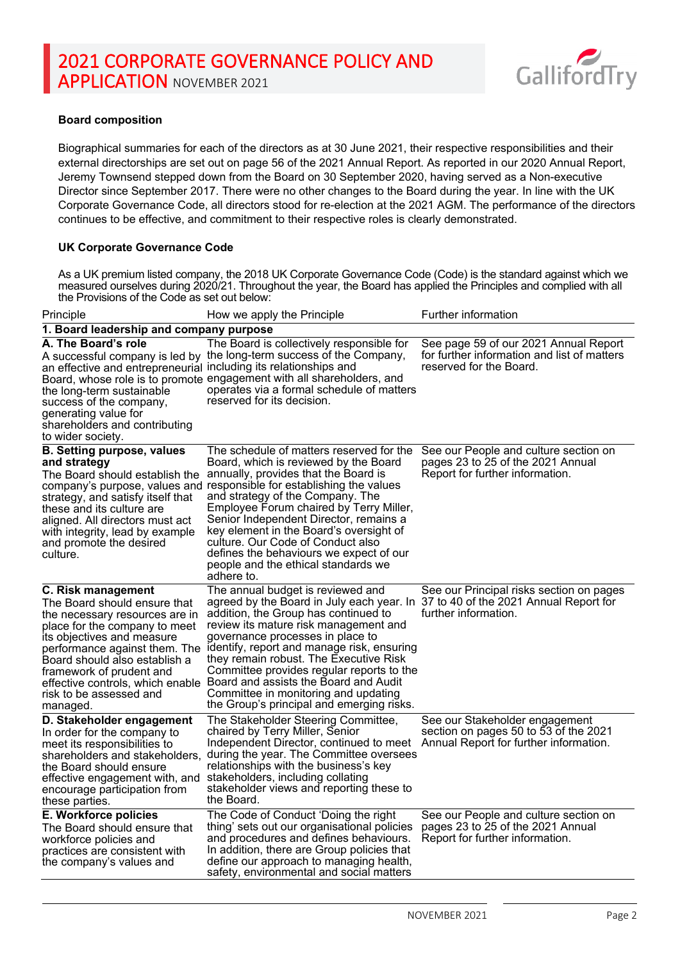

## **Board composition**

Biographical summaries for each of the directors as at 30 June 2021, their respective responsibilities and their external directorships are set out on page 56 of the 2021 Annual Report. As reported in our 2020 Annual Report, Jeremy Townsend stepped down from the Board on 30 September 2020, having served as a Non-executive Director since September 2017. There were no other changes to the Board during the year. In line with the UK Corporate Governance Code, all directors stood for re-election at the 2021 AGM. The performance of the directors continues to be effective, and commitment to their respective roles is clearly demonstrated.

### **UK Corporate Governance Code**

As a UK premium listed company, the 2018 UK Corporate Governance Code (Code) is the standard against which we measured ourselves during 2020/21. Throughout the year, the Board has applied the Principles and complied with all the Provisions of the Code as set out below:

| Principle                                                                                                                                                                                                                                                          | How we apply the Principle                                                                                                                                                                                                                                                                                                                                                                                                                                                                                                                                                   | Further information                                                                                               |  |  |
|--------------------------------------------------------------------------------------------------------------------------------------------------------------------------------------------------------------------------------------------------------------------|------------------------------------------------------------------------------------------------------------------------------------------------------------------------------------------------------------------------------------------------------------------------------------------------------------------------------------------------------------------------------------------------------------------------------------------------------------------------------------------------------------------------------------------------------------------------------|-------------------------------------------------------------------------------------------------------------------|--|--|
| 1. Board leadership and company purpose                                                                                                                                                                                                                            |                                                                                                                                                                                                                                                                                                                                                                                                                                                                                                                                                                              |                                                                                                                   |  |  |
| A. The Board's role<br>an effective and entrepreneurial including its relationships and<br>the long-term sustainable<br>success of the company,<br>generating value for<br>shareholders and contributing<br>to wider society.                                      | The Board is collectively responsible for<br>A successful company is led by the long-term success of the Company,<br>Board, whose role is to promote engagement with all shareholders, and<br>operates via a formal schedule of matters<br>reserved for its decision.                                                                                                                                                                                                                                                                                                        | See page 59 of our 2021 Annual Report<br>for further information and list of matters<br>reserved for the Board.   |  |  |
| <b>B. Setting purpose, values</b><br>and strategy<br>The Board should establish the<br>strategy, and satisfy itself that<br>these and its culture are<br>aligned. All directors must act<br>with integrity, lead by example<br>and promote the desired<br>culture. | The schedule of matters reserved for the<br>Board, which is reviewed by the Board<br>annually, provides that the Board is<br>company's purpose, values and responsible for establishing the values<br>and strategy of the Company. The<br>Employee Forum chaired by Terry Miller,<br>Senior Independent Director, remains a<br>key element in the Board's oversight of<br>culture. Our Code of Conduct also<br>defines the behaviours we expect of our<br>people and the ethical standards we<br>adhere to.                                                                  | See our People and culture section on<br>pages 23 to 25 of the 2021 Annual<br>Report for further information.     |  |  |
| C. Risk management<br>The Board should ensure that<br>the necessary resources are in<br>place for the company to meet<br>its objectives and measure<br>Board should also establish a<br>framework of prudent and<br>risk to be assessed and<br>managed.            | The annual budget is reviewed and<br>agreed by the Board in July each year. In 37 to 40 of the 2021 Annual Report for<br>addition, the Group has continued to<br>review its mature risk management and<br>governance processes in place to<br>performance against them. The identify, report and manage risk, ensuring<br>they remain robust. The Executive Risk<br>Committee provides regular reports to the<br>effective controls, which enable Board and assists the Board and Audit<br>Committee in monitoring and updating<br>the Group's principal and emerging risks. | See our Principal risks section on pages<br>further information.                                                  |  |  |
| D. Stakeholder engagement<br>In order for the company to<br>meet its responsibilities to<br>shareholders and stakeholders,<br>the Board should ensure<br>effective engagement with, and<br>encourage participation from<br>these parties.                          | The Stakeholder Steering Committee,<br>chaired by Terry Miller, Senior<br>Independent Director, continued to meet<br>during the year. The Committee oversees<br>relationships with the business's key<br>stakeholders, including collating<br>stakeholder views and reporting these to<br>the Board.                                                                                                                                                                                                                                                                         | See our Stakeholder engagement<br>section on pages 50 to 53 of the 2021<br>Annual Report for further information. |  |  |
| E. Workforce policies<br>The Board should ensure that<br>workforce policies and<br>practices are consistent with<br>the company's values and                                                                                                                       | The Code of Conduct 'Doing the right<br>thing' sets out our organisational policies<br>and procedures and defines behaviours.<br>In addition, there are Group policies that<br>define our approach to managing health,<br>safety, environmental and social matters                                                                                                                                                                                                                                                                                                           | See our People and culture section on<br>pages 23 to 25 of the 2021 Annual<br>Report for further information.     |  |  |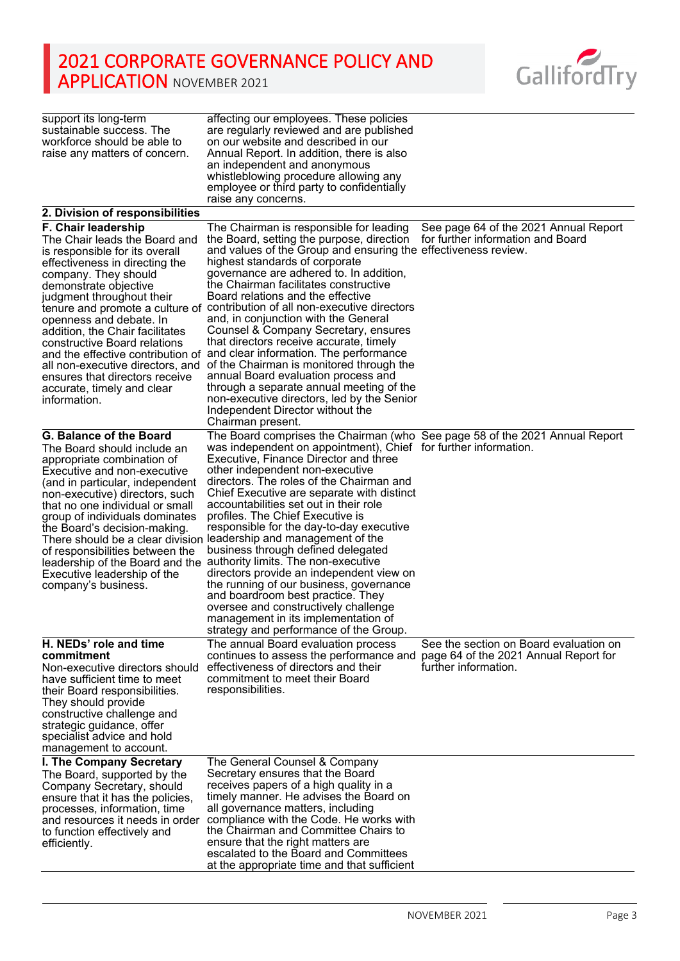

| support its long-term<br>sustainable success. The<br>workforce should be able to<br>raise any matters of concern.                                                                                                                                                                                                                                                                                                        | affecting our employees. These policies<br>are regularly reviewed and are published<br>on our website and described in our<br>Annual Report. In addition, there is also<br>an independent and anonymous<br>whistleblowing procedure allowing any<br>employee or third party to confidentially<br>raise any concerns.                                                                                                                                                                                                                                                                                                                                                                                                                                                                                                                                                                  |                                                                                                         |
|--------------------------------------------------------------------------------------------------------------------------------------------------------------------------------------------------------------------------------------------------------------------------------------------------------------------------------------------------------------------------------------------------------------------------|---------------------------------------------------------------------------------------------------------------------------------------------------------------------------------------------------------------------------------------------------------------------------------------------------------------------------------------------------------------------------------------------------------------------------------------------------------------------------------------------------------------------------------------------------------------------------------------------------------------------------------------------------------------------------------------------------------------------------------------------------------------------------------------------------------------------------------------------------------------------------------------|---------------------------------------------------------------------------------------------------------|
| 2. Division of responsibilities                                                                                                                                                                                                                                                                                                                                                                                          |                                                                                                                                                                                                                                                                                                                                                                                                                                                                                                                                                                                                                                                                                                                                                                                                                                                                                       |                                                                                                         |
| F. Chair leadership<br>The Chair leads the Board and<br>is responsible for its overall<br>effectiveness in directing the<br>company. They should<br>demonstrate objective<br>judgment throughout their<br>openness and debate. In<br>addition, the Chair facilitates<br>constructive Board relations<br>all non-executive directors, and<br>ensures that directors receive<br>accurate, timely and clear<br>information. | The Chairman is responsible for leading<br>the Board, setting the purpose, direction<br>and values of the Group and ensuring the effectiveness review.<br>highest standards of corporate<br>governance are adhered to. In addition,<br>the Chairman facilitates constructive<br>Board relations and the effective<br>tenure and promote a culture of contribution of all non-executive directors<br>and, in conjunction with the General<br>Counsel & Company Secretary, ensures<br>that directors receive accurate, timely<br>and the effective contribution of and clear information. The performance<br>of the Chairman is monitored through the<br>annual Board evaluation process and<br>through a separate annual meeting of the<br>non-executive directors, led by the Senior<br>Independent Director without the<br>Chairman present.                                         | See page 64 of the 2021 Annual Report<br>for further information and Board                              |
| <b>G. Balance of the Board</b><br>The Board should include an<br>appropriate combination of<br>Executive and non-executive<br>(and in particular, independent<br>non-executive) directors, such<br>that no one individual or small<br>group of individuals dominates<br>the Board's decision-making.<br>of responsibilities between the<br>Executive leadership of the<br>company's business.                            | The Board comprises the Chairman (who See page 58 of the 2021 Annual Report<br>was independent on appointment), Chief for further information.<br>Executive, Finance Director and three<br>other independent non-executive<br>directors. The roles of the Chairman and<br>Chief Executive are separate with distinct<br>accountabilities set out in their role<br>profiles. The Chief Executive is<br>responsible for the day-to-day executive<br>There should be a clear division leadership and management of the<br>business through defined delegated<br>leadership of the Board and the authority limits. The non-executive<br>directors provide an independent view on<br>the running of our business, governance<br>and boardroom best practice. They<br>oversee and constructively challenge<br>management in its implementation of<br>strategy and performance of the Group. |                                                                                                         |
| H. NEDs' role and time<br>commitment<br>Non-executive directors should<br>have sufficient time to meet<br>their Board responsibilities.<br>They should provide<br>constructive challenge and<br>strategic guidance, offer<br>specialist advice and hold<br>management to account.                                                                                                                                        | The annual Board evaluation process<br>continues to assess the performance and<br>effectiveness of directors and their<br>commitment to meet their Board<br>responsibilities.                                                                                                                                                                                                                                                                                                                                                                                                                                                                                                                                                                                                                                                                                                         | See the section on Board evaluation on<br>page 64 of the 2021 Annual Report for<br>further information. |
| I. The Company Secretary<br>The Board, supported by the<br>Company Secretary, should<br>ensure that it has the policies,<br>processes, information, time<br>and resources it needs in order<br>to function effectively and<br>efficiently.                                                                                                                                                                               | The General Counsel & Company<br>Secretary ensures that the Board<br>receives papers of a high quality in a<br>timely manner. He advises the Board on<br>all governance matters, including<br>compliance with the Code. He works with<br>the Chairman and Committee Chairs to<br>ensure that the right matters are<br>escalated to the Board and Committees<br>at the appropriate time and that sufficient                                                                                                                                                                                                                                                                                                                                                                                                                                                                            |                                                                                                         |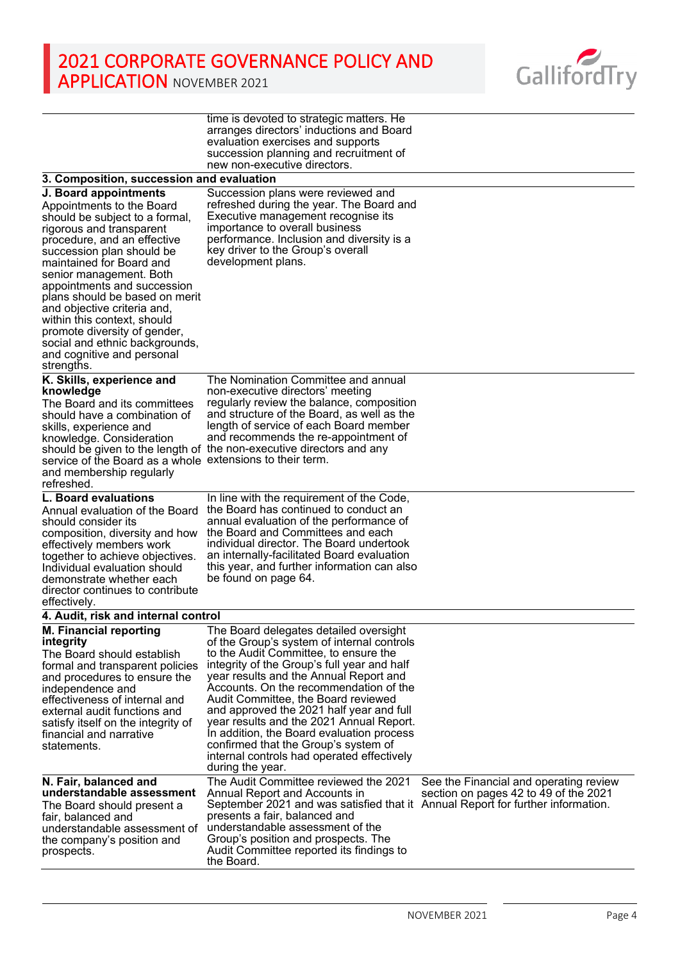

|                                                                                                                                                                                                                                                                                                                                                                                                                                                                                  | time is devoted to strategic matters. He<br>arranges directors' inductions and Board<br>evaluation exercises and supports<br>succession planning and recruitment of<br>new non-executive directors.                                                                                                                                                                                                                                                                                                                                                    |                                                                                 |
|----------------------------------------------------------------------------------------------------------------------------------------------------------------------------------------------------------------------------------------------------------------------------------------------------------------------------------------------------------------------------------------------------------------------------------------------------------------------------------|--------------------------------------------------------------------------------------------------------------------------------------------------------------------------------------------------------------------------------------------------------------------------------------------------------------------------------------------------------------------------------------------------------------------------------------------------------------------------------------------------------------------------------------------------------|---------------------------------------------------------------------------------|
| 3. Composition, succession and evaluation                                                                                                                                                                                                                                                                                                                                                                                                                                        |                                                                                                                                                                                                                                                                                                                                                                                                                                                                                                                                                        |                                                                                 |
| J. Board appointments<br>Appointments to the Board<br>should be subject to a formal,<br>rigorous and transparent<br>procedure, and an effective<br>succession plan should be<br>maintained for Board and<br>senior management. Both<br>appointments and succession<br>plans should be based on merit<br>and objective criteria and,<br>within this context, should<br>promote diversity of gender,<br>social and ethnic backgrounds,<br>and cognitive and personal<br>strengths. | Succession plans were reviewed and<br>refreshed during the year. The Board and<br>Executive management recognise its<br>importance to overall business<br>performance. Inclusion and diversity is a<br>key driver to the Group's overall<br>development plans.                                                                                                                                                                                                                                                                                         |                                                                                 |
| K. Skills, experience and<br>knowledge<br>The Board and its committees<br>should have a combination of<br>skills, experience and<br>knowledge. Consideration<br>service of the Board as a whole extensions to their term.<br>and membership regularly<br>refreshed.<br>L. Board evaluations                                                                                                                                                                                      | The Nomination Committee and annual<br>non-executive directors' meeting<br>regularly review the balance, composition<br>and structure of the Board, as well as the<br>length of service of each Board member<br>and recommends the re-appointment of<br>should be given to the length of the non-executive directors and any<br>In line with the requirement of the Code,                                                                                                                                                                              |                                                                                 |
| Annual evaluation of the Board<br>should consider its<br>composition, diversity and how<br>effectively members work<br>together to achieve objectives.<br>Individual evaluation should<br>demonstrate whether each<br>director continues to contribute<br>effectively.                                                                                                                                                                                                           | the Board has continued to conduct an<br>annual evaluation of the performance of<br>the Board and Committees and each<br>individual director. The Board undertook<br>an internally-facilitated Board evaluation<br>this year, and further information can also<br>be found on page 64.                                                                                                                                                                                                                                                                 |                                                                                 |
| 4. Audit, risk and internal control                                                                                                                                                                                                                                                                                                                                                                                                                                              |                                                                                                                                                                                                                                                                                                                                                                                                                                                                                                                                                        |                                                                                 |
| <b>M. Financial reporting</b><br>integrity<br>The Board should establish<br>formal and transparent policies<br>and procedures to ensure the<br>independence and<br>effectiveness of internal and<br>external audit functions and<br>satisfy itself on the integrity of<br>financial and narrative<br>statements.                                                                                                                                                                 | The Board delegates detailed oversight<br>of the Group's system of internal controls<br>to the Audit Committee, to ensure the<br>integrity of the Group's full year and half<br>year results and the Annual Report and<br>Accounts. On the recommendation of the<br>Audit Committee, the Board reviewed<br>and approved the 2021 half year and full<br>year results and the 2021 Annual Report.<br>In addition, the Board evaluation process<br>confirmed that the Group's system of<br>internal controls had operated effectively<br>during the year. |                                                                                 |
| N. Fair, balanced and<br>understandable assessment<br>The Board should present a<br>fair, balanced and<br>understandable assessment of<br>the company's position and<br>prospects.                                                                                                                                                                                                                                                                                               | The Audit Committee reviewed the 2021<br>Annual Report and Accounts in<br>September 2021 and was satisfied that it Annual Report for further information.<br>presents a fair, balanced and<br>understandable assessment of the<br>Group's position and prospects. The<br>Audit Committee reported its findings to<br>the Board.                                                                                                                                                                                                                        | See the Financial and operating review<br>section on pages 42 to 49 of the 2021 |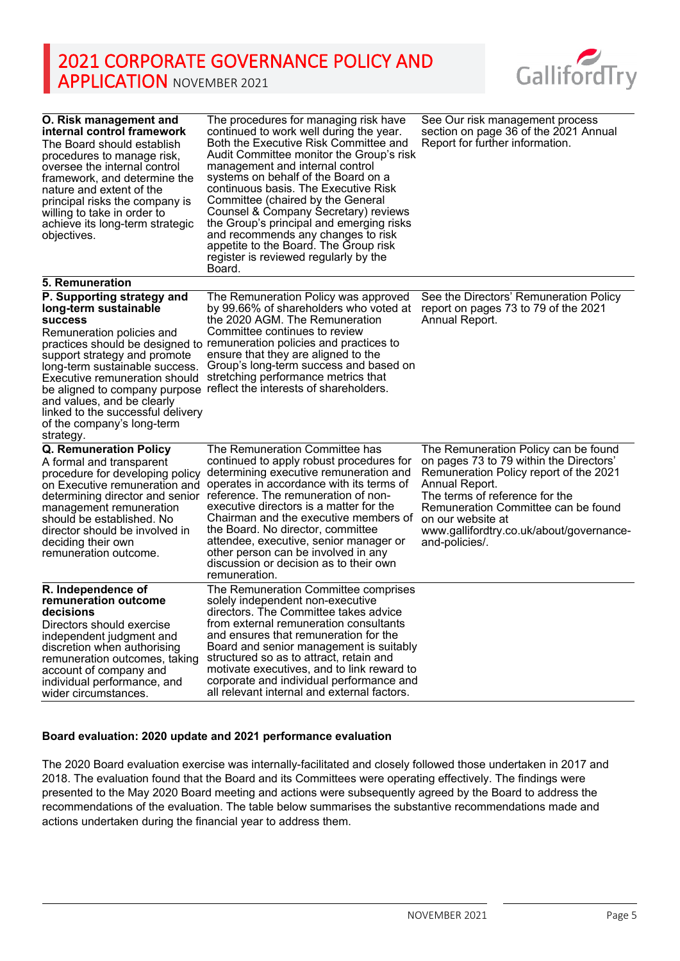

| O. Risk management and<br>internal control framework<br>The Board should establish.<br>procedures to manage risk,<br>oversee the internal control<br>framework, and determine the<br>nature and extent of the<br>principal risks the company is<br>willing to take in order to<br>achieve its long-term strategic<br>objectives. | The procedures for managing risk have<br>continued to work well during the year.<br>Both the Executive Risk Committee and<br>Audit Committee monitor the Group's risk<br>management and internal control<br>systems on behalf of the Board on a<br>continuous basis. The Executive Risk<br>Committee (chaired by the General<br>Counsel & Company Secretary) reviews<br>the Group's principal and emerging risks<br>and recommends any changes to risk<br>appetite to the Board. The Group risk<br>register is reviewed regularly by the<br>Board. | See Our risk management process<br>section on page 36 of the 2021 Annual<br>Report for further information.                                                                                                                                                     |
|----------------------------------------------------------------------------------------------------------------------------------------------------------------------------------------------------------------------------------------------------------------------------------------------------------------------------------|----------------------------------------------------------------------------------------------------------------------------------------------------------------------------------------------------------------------------------------------------------------------------------------------------------------------------------------------------------------------------------------------------------------------------------------------------------------------------------------------------------------------------------------------------|-----------------------------------------------------------------------------------------------------------------------------------------------------------------------------------------------------------------------------------------------------------------|
| <b>5. Remuneration</b>                                                                                                                                                                                                                                                                                                           |                                                                                                                                                                                                                                                                                                                                                                                                                                                                                                                                                    |                                                                                                                                                                                                                                                                 |
| P. Supporting strategy and<br>long-term sustainable<br><b>success</b><br>Remuneration policies and<br>support strategy and promote<br>long-term sustainable success.<br>Executive remuneration should<br>and values, and be clearly<br>linked to the successful delivery<br>of the company's long-term<br>strategy.              | The Remuneration Policy was approved<br>by 99.66% of shareholders who voted at<br>the 2020 AGM. The Remuneration<br>Committee continues to review<br>practices should be designed to remuneration policies and practices to<br>ensure that they are aligned to the<br>Group's long-term success and based on<br>stretching performance metrics that<br>be aligned to company purpose reflect the interests of shareholders.                                                                                                                        | See the Directors' Remuneration Policy<br>report on pages 73 to 79 of the 2021<br>Annual Report.                                                                                                                                                                |
| Q. Remuneration Policy                                                                                                                                                                                                                                                                                                           | The Remuneration Committee has                                                                                                                                                                                                                                                                                                                                                                                                                                                                                                                     | The Remuneration Policy can be found                                                                                                                                                                                                                            |
| A formal and transparent<br>procedure for developing policy<br>on Executive remuneration and<br>determining director and senior<br>management remuneration<br>should be established. No<br>director should be involved in<br>deciding their own<br>remuneration outcome.                                                         | continued to apply robust procedures for<br>determining executive remuneration and<br>operates in accordance with its terms of<br>reference. The remuneration of non-<br>executive directors is a matter for the<br>Chairman and the executive members of<br>the Board. No director, committee<br>attendee, executive, senior manager or<br>other person can be involved in any<br>discussion or decision as to their own<br>remuneration.                                                                                                         | on pages 73 to 79 within the Directors'<br>Remuneration Policy report of the 2021<br>Annual Report.<br>The terms of reference for the<br>Remuneration Committee can be found<br>on our website at<br>www.gallifordtry.co.uk/about/governance-<br>and-policies/. |
| R. Independence of<br>remuneration outcome<br>decisions<br>Directors should exercise<br>independent judgment and<br>discretion when authorising<br>remuneration outcomes, taking<br>account of company and<br>individual performance, and<br>wider circumstances.                                                                | The Remuneration Committee comprises<br>solely independent non-executive<br>directors. The Committee takes advice<br>from external remuneration consultants<br>and ensures that remuneration for the<br>Board and senior management is suitably<br>structured so as to attract, retain and<br>motivate executives, and to link reward to<br>corporate and individual performance and<br>all relevant internal and external factors.                                                                                                                |                                                                                                                                                                                                                                                                 |

### **Board evaluation: 2020 update and 2021 performance evaluation**

The 2020 Board evaluation exercise was internally-facilitated and closely followed those undertaken in 2017 and 2018. The evaluation found that the Board and its Committees were operating effectively. The findings were presented to the May 2020 Board meeting and actions were subsequently agreed by the Board to address the recommendations of the evaluation. The table below summarises the substantive recommendations made and actions undertaken during the financial year to address them.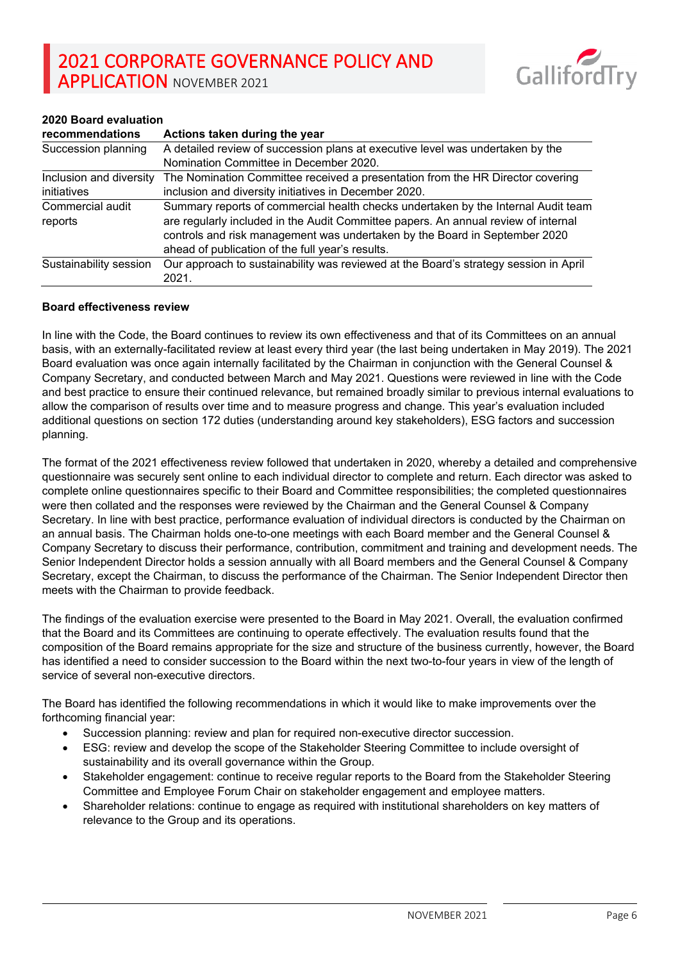

## **2020 Board evaluation**

| recommendations             | Actions taken during the year                                                                                                                                                                                                                                                                             |
|-----------------------------|-----------------------------------------------------------------------------------------------------------------------------------------------------------------------------------------------------------------------------------------------------------------------------------------------------------|
| Succession planning         | A detailed review of succession plans at executive level was undertaken by the                                                                                                                                                                                                                            |
|                             | Nomination Committee in December 2020.                                                                                                                                                                                                                                                                    |
| Inclusion and diversity     | The Nomination Committee received a presentation from the HR Director covering                                                                                                                                                                                                                            |
| initiatives                 | inclusion and diversity initiatives in December 2020.                                                                                                                                                                                                                                                     |
| Commercial audit<br>reports | Summary reports of commercial health checks undertaken by the Internal Audit team<br>are regularly included in the Audit Committee papers. An annual review of internal<br>controls and risk management was undertaken by the Board in September 2020<br>ahead of publication of the full year's results. |
| Sustainability session      | Our approach to sustainability was reviewed at the Board's strategy session in April<br>2021.                                                                                                                                                                                                             |

#### **Board effectiveness review**

In line with the Code, the Board continues to review its own effectiveness and that of its Committees on an annual basis, with an externally-facilitated review at least every third year (the last being undertaken in May 2019). The 2021 Board evaluation was once again internally facilitated by the Chairman in conjunction with the General Counsel & Company Secretary, and conducted between March and May 2021. Questions were reviewed in line with the Code and best practice to ensure their continued relevance, but remained broadly similar to previous internal evaluations to allow the comparison of results over time and to measure progress and change. This year's evaluation included additional questions on section 172 duties (understanding around key stakeholders), ESG factors and succession planning.

The format of the 2021 effectiveness review followed that undertaken in 2020, whereby a detailed and comprehensive questionnaire was securely sent online to each individual director to complete and return. Each director was asked to complete online questionnaires specific to their Board and Committee responsibilities; the completed questionnaires were then collated and the responses were reviewed by the Chairman and the General Counsel & Company Secretary. In line with best practice, performance evaluation of individual directors is conducted by the Chairman on an annual basis. The Chairman holds one-to-one meetings with each Board member and the General Counsel & Company Secretary to discuss their performance, contribution, commitment and training and development needs. The Senior Independent Director holds a session annually with all Board members and the General Counsel & Company Secretary, except the Chairman, to discuss the performance of the Chairman. The Senior Independent Director then meets with the Chairman to provide feedback.

The findings of the evaluation exercise were presented to the Board in May 2021. Overall, the evaluation confirmed that the Board and its Committees are continuing to operate effectively. The evaluation results found that the composition of the Board remains appropriate for the size and structure of the business currently, however, the Board has identified a need to consider succession to the Board within the next two-to-four years in view of the length of service of several non-executive directors.

The Board has identified the following recommendations in which it would like to make improvements over the forthcoming financial year:

- Succession planning: review and plan for required non-executive director succession.
- ESG: review and develop the scope of the Stakeholder Steering Committee to include oversight of sustainability and its overall governance within the Group.
- Stakeholder engagement: continue to receive regular reports to the Board from the Stakeholder Steering Committee and Employee Forum Chair on stakeholder engagement and employee matters.
- Shareholder relations: continue to engage as required with institutional shareholders on key matters of relevance to the Group and its operations.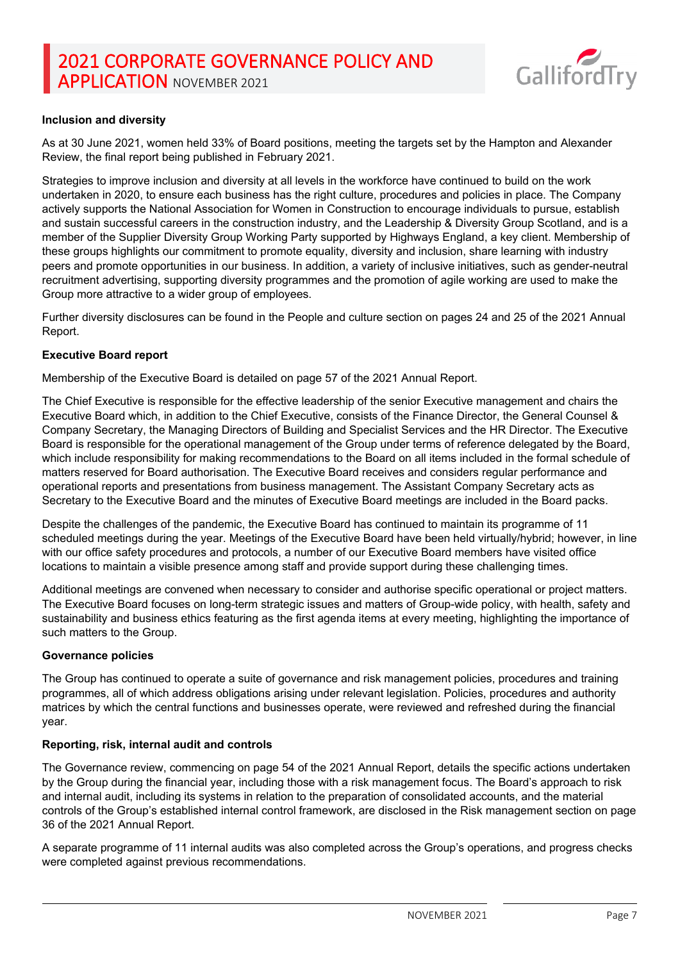

## **Inclusion and diversity**

As at 30 June 2021, women held 33% of Board positions, meeting the targets set by the Hampton and Alexander Review, the final report being published in February 2021.

Strategies to improve inclusion and diversity at all levels in the workforce have continued to build on the work undertaken in 2020, to ensure each business has the right culture, procedures and policies in place. The Company actively supports the National Association for Women in Construction to encourage individuals to pursue, establish and sustain successful careers in the construction industry, and the Leadership & Diversity Group Scotland, and is a member of the Supplier Diversity Group Working Party supported by Highways England, a key client. Membership of these groups highlights our commitment to promote equality, diversity and inclusion, share learning with industry peers and promote opportunities in our business. In addition, a variety of inclusive initiatives, such as gender-neutral recruitment advertising, supporting diversity programmes and the promotion of agile working are used to make the Group more attractive to a wider group of employees.

Further diversity disclosures can be found in the People and culture section on pages 24 and 25 of the 2021 Annual Report.

### **Executive Board report**

Membership of the Executive Board is detailed on page 57 of the 2021 Annual Report.

The Chief Executive is responsible for the effective leadership of the senior Executive management and chairs the Executive Board which, in addition to the Chief Executive, consists of the Finance Director, the General Counsel & Company Secretary, the Managing Directors of Building and Specialist Services and the HR Director. The Executive Board is responsible for the operational management of the Group under terms of reference delegated by the Board, which include responsibility for making recommendations to the Board on all items included in the formal schedule of matters reserved for Board authorisation. The Executive Board receives and considers regular performance and operational reports and presentations from business management. The Assistant Company Secretary acts as Secretary to the Executive Board and the minutes of Executive Board meetings are included in the Board packs.

Despite the challenges of the pandemic, the Executive Board has continued to maintain its programme of 11 scheduled meetings during the year. Meetings of the Executive Board have been held virtually/hybrid; however, in line with our office safety procedures and protocols, a number of our Executive Board members have visited office locations to maintain a visible presence among staff and provide support during these challenging times.

Additional meetings are convened when necessary to consider and authorise specific operational or project matters. The Executive Board focuses on long-term strategic issues and matters of Group-wide policy, with health, safety and sustainability and business ethics featuring as the first agenda items at every meeting, highlighting the importance of such matters to the Group.

#### **Governance policies**

The Group has continued to operate a suite of governance and risk management policies, procedures and training programmes, all of which address obligations arising under relevant legislation. Policies, procedures and authority matrices by which the central functions and businesses operate, were reviewed and refreshed during the financial year.

### **Reporting, risk, internal audit and controls**

The Governance review, commencing on page 54 of the 2021 Annual Report, details the specific actions undertaken by the Group during the financial year, including those with a risk management focus. The Board's approach to risk and internal audit, including its systems in relation to the preparation of consolidated accounts, and the material controls of the Group's established internal control framework, are disclosed in the Risk management section on page 36 of the 2021 Annual Report.

A separate programme of 11 internal audits was also completed across the Group's operations, and progress checks were completed against previous recommendations.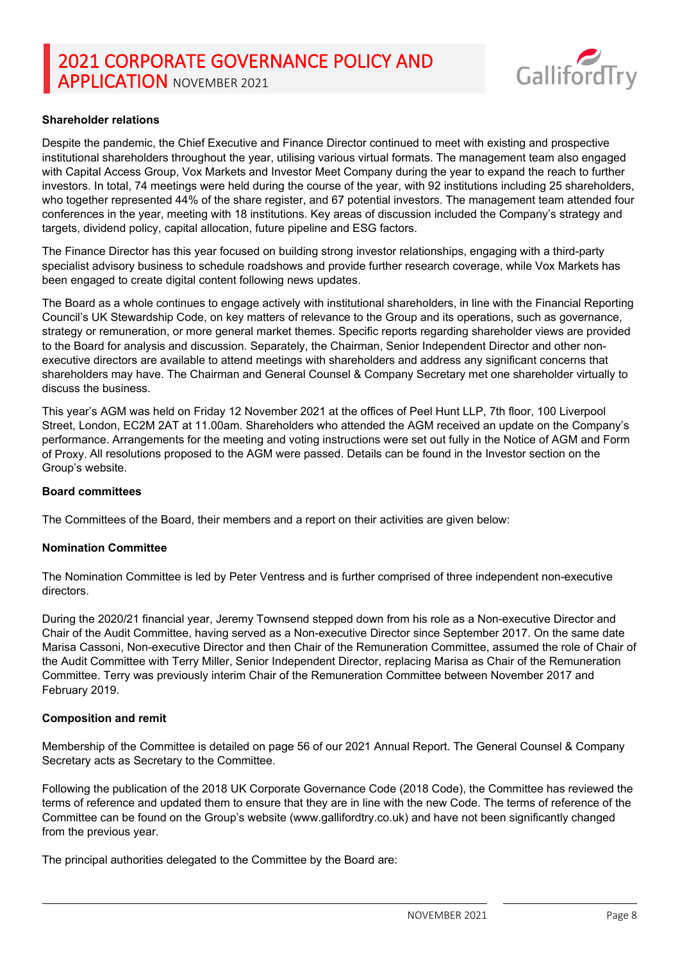

## **Shareholder relations**

Despite the pandemic, the Chief Executive and Finance Director continued to meet with existing and prospective institutional shareholders throughout the year, utilising various virtual formats. The management team also engaged with Capital Access Group, Vox Markets and Investor Meet Company during the year to expand the reach to further investors. In total, 74 meetings were held during the course of the year, with 92 institutions including 25 shareholders, who together represented 44% of the share register, and 67 potential investors. The management team attended four conferences in the year, meeting with 18 institutions. Key areas of discussion included the Company's strategy and targets, dividend policy, capital allocation, future pipeline and ESG factors.

The Finance Director has this year focused on building strong investor relationships, engaging with a third-party specialist advisory business to schedule roadshows and provide further research coverage, while Vox Markets has been engaged to create digital content following news updates.

The Board as a whole continues to engage actively with institutional shareholders, in line with the Financial Reporting Council's UK Stewardship Code, on key matters of relevance to the Group and its operations, such as governance, strategy or remuneration, or more general market themes. Specific reports regarding shareholder views are provided to the Board for analysis and discussion. Separately, the Chairman, Senior Independent Director and other nonexecutive directors are available to attend meetings with shareholders and address any significant concerns that shareholders may have. The Chairman and General Counsel & Company Secretary met one shareholder virtually to discuss the business.

This year's AGM was held on Friday 12 November 2021 at the offices of Peel Hunt LLP, 7th floor, 100 Liverpool Street, London, EC2M 2AT at 11.00am. Shareholders who attended the AGM received an update on the Company's performance. Arrangements for the meeting and voting instructions were set out fully in the Notice of AGM and Form of Proxy. All resolutions proposed to the AGM were passed. Details can be found in the Investor section on the Group's website.

#### **Board committees**

The Committees of the Board, their members and a report on their activities are given below:

#### **Nomination Committee**

The Nomination Committee is led by Peter Ventress and is further comprised of three independent non-executive directors.

During the 2020/21 financial year, Jeremy Townsend stepped down from his role as a Non-executive Director and Chair of the Audit Committee, having served as a Non-executive Director since September 2017. On the same date Marisa Cassoni, Non-executive Director and then Chair of the Remuneration Committee, assumed the role of Chair of the Audit Committee with Terry Miller, Senior Independent Director, replacing Marisa as Chair of the Remuneration Committee. Terry was previously interim Chair of the Remuneration Committee between November 2017 and February 2019.

### **Composition and remit**

Membership of the Committee is detailed on page 56 of our 2021 Annual Report. The General Counsel & Company Secretary acts as Secretary to the Committee.

Following the publication of the 2018 UK Corporate Governance Code (2018 Code), the Committee has reviewed the terms of reference and updated them to ensure that they are in line with the new Code. The terms of reference of the Committee can be found on the Group's website (www.gallifordtry.co.uk) and have not been significantly changed from the previous year.

The principal authorities delegated to the Committee by the Board are: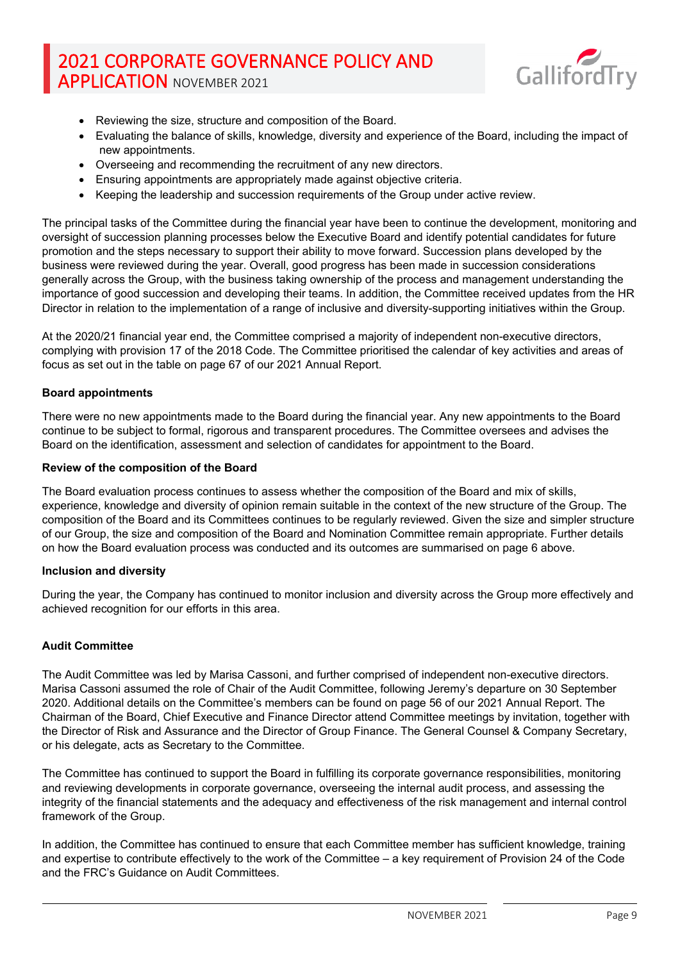

- Reviewing the size, structure and composition of the Board.
- Evaluating the balance of skills, knowledge, diversity and experience of the Board, including the impact of new appointments.
- Overseeing and recommending the recruitment of any new directors.
- Ensuring appointments are appropriately made against objective criteria.
- Keeping the leadership and succession requirements of the Group under active review.

The principal tasks of the Committee during the financial year have been to continue the development, monitoring and oversight of succession planning processes below the Executive Board and identify potential candidates for future promotion and the steps necessary to support their ability to move forward. Succession plans developed by the business were reviewed during the year. Overall, good progress has been made in succession considerations generally across the Group, with the business taking ownership of the process and management understanding the importance of good succession and developing their teams. In addition, the Committee received updates from the HR Director in relation to the implementation of a range of inclusive and diversity-supporting initiatives within the Group.

At the 2020/21 financial year end, the Committee comprised a majority of independent non-executive directors, complying with provision 17 of the 2018 Code. The Committee prioritised the calendar of key activities and areas of focus as set out in the table on page 67 of our 2021 Annual Report.

### **Board appointments**

There were no new appointments made to the Board during the financial year. Any new appointments to the Board continue to be subject to formal, rigorous and transparent procedures. The Committee oversees and advises the Board on the identification, assessment and selection of candidates for appointment to the Board.

### **Review of the composition of the Board**

The Board evaluation process continues to assess whether the composition of the Board and mix of skills, experience, knowledge and diversity of opinion remain suitable in the context of the new structure of the Group. The composition of the Board and its Committees continues to be regularly reviewed. Given the size and simpler structure of our Group, the size and composition of the Board and Nomination Committee remain appropriate. Further details on how the Board evaluation process was conducted and its outcomes are summarised on page 6 above.

### **Inclusion and diversity**

During the year, the Company has continued to monitor inclusion and diversity across the Group more effectively and achieved recognition for our efforts in this area.

### **Audit Committee**

The Audit Committee was led by Marisa Cassoni, and further comprised of independent non-executive directors. Marisa Cassoni assumed the role of Chair of the Audit Committee, following Jeremy's departure on 30 September 2020. Additional details on the Committee's members can be found on page 56 of our 2021 Annual Report. The Chairman of the Board, Chief Executive and Finance Director attend Committee meetings by invitation, together with the Director of Risk and Assurance and the Director of Group Finance. The General Counsel & Company Secretary, or his delegate, acts as Secretary to the Committee.

The Committee has continued to support the Board in fulfilling its corporate governance responsibilities, monitoring and reviewing developments in corporate governance, overseeing the internal audit process, and assessing the integrity of the financial statements and the adequacy and effectiveness of the risk management and internal control framework of the Group.

In addition, the Committee has continued to ensure that each Committee member has sufficient knowledge, training and expertise to contribute effectively to the work of the Committee – a key requirement of Provision 24 of the Code and the FRC's Guidance on Audit Committees.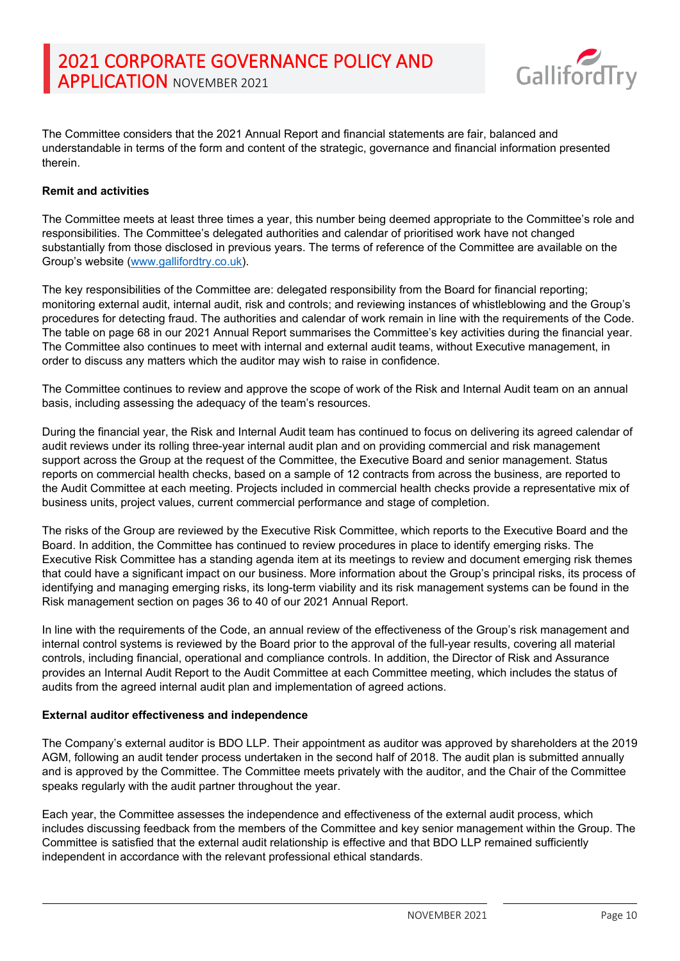

The Committee considers that the 2021 Annual Report and financial statements are fair, balanced and understandable in terms of the form and content of the strategic, governance and financial information presented therein.

## **Remit and activities**

The Committee meets at least three times a year, this number being deemed appropriate to the Committee's role and responsibilities. The Committee's delegated authorities and calendar of prioritised work have not changed substantially from those disclosed in previous years. The terms of reference of the Committee are available on the Group's website [\(www.gallifordtry.co.uk\)](http://www.gallifordtry.co.uk/).

The key responsibilities of the Committee are: delegated responsibility from the Board for financial reporting; monitoring external audit, internal audit, risk and controls; and reviewing instances of whistleblowing and the Group's procedures for detecting fraud. The authorities and calendar of work remain in line with the requirements of the Code. The table on page 68 in our 2021 Annual Report summarises the Committee's key activities during the financial year. The Committee also continues to meet with internal and external audit teams, without Executive management, in order to discuss any matters which the auditor may wish to raise in confidence.

The Committee continues to review and approve the scope of work of the Risk and Internal Audit team on an annual basis, including assessing the adequacy of the team's resources.

During the financial year, the Risk and Internal Audit team has continued to focus on delivering its agreed calendar of audit reviews under its rolling three-year internal audit plan and on providing commercial and risk management support across the Group at the request of the Committee, the Executive Board and senior management. Status reports on commercial health checks, based on a sample of 12 contracts from across the business, are reported to the Audit Committee at each meeting. Projects included in commercial health checks provide a representative mix of business units, project values, current commercial performance and stage of completion.

The risks of the Group are reviewed by the Executive Risk Committee, which reports to the Executive Board and the Board. In addition, the Committee has continued to review procedures in place to identify emerging risks. The Executive Risk Committee has a standing agenda item at its meetings to review and document emerging risk themes that could have a significant impact on our business. More information about the Group's principal risks, its process of identifying and managing emerging risks, its long-term viability and its risk management systems can be found in the Risk management section on pages 36 to 40 of our 2021 Annual Report.

In line with the requirements of the Code, an annual review of the effectiveness of the Group's risk management and internal control systems is reviewed by the Board prior to the approval of the full-year results, covering all material controls, including financial, operational and compliance controls. In addition, the Director of Risk and Assurance provides an Internal Audit Report to the Audit Committee at each Committee meeting, which includes the status of audits from the agreed internal audit plan and implementation of agreed actions.

### **External auditor effectiveness and independence**

The Company's external auditor is BDO LLP. Their appointment as auditor was approved by shareholders at the 2019 AGM, following an audit tender process undertaken in the second half of 2018. The audit plan is submitted annually and is approved by the Committee. The Committee meets privately with the auditor, and the Chair of the Committee speaks regularly with the audit partner throughout the year.

Each year, the Committee assesses the independence and effectiveness of the external audit process, which includes discussing feedback from the members of the Committee and key senior management within the Group. The Committee is satisfied that the external audit relationship is effective and that BDO LLP remained sufficiently independent in accordance with the relevant professional ethical standards.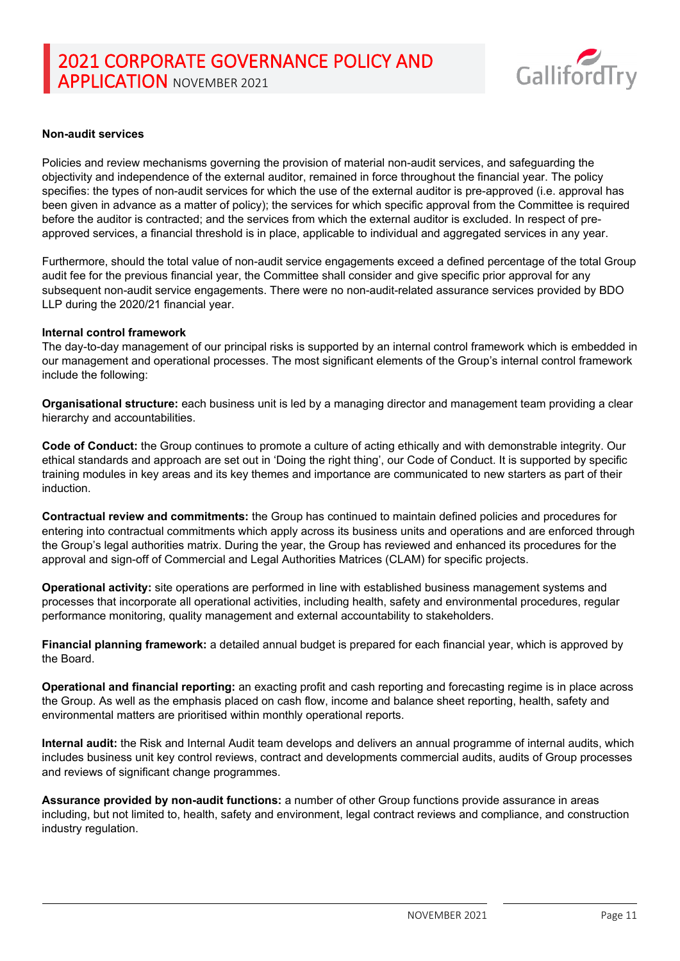

#### **Non-audit services**

Policies and review mechanisms governing the provision of material non-audit services, and safeguarding the objectivity and independence of the external auditor, remained in force throughout the financial year. The policy specifies: the types of non-audit services for which the use of the external auditor is pre-approved (i.e. approval has been given in advance as a matter of policy); the services for which specific approval from the Committee is required before the auditor is contracted; and the services from which the external auditor is excluded. In respect of preapproved services, a financial threshold is in place, applicable to individual and aggregated services in any year.

Furthermore, should the total value of non-audit service engagements exceed a defined percentage of the total Group audit fee for the previous financial year, the Committee shall consider and give specific prior approval for any subsequent non-audit service engagements. There were no non-audit-related assurance services provided by BDO LLP during the 2020/21 financial year.

#### **Internal control framework**

The day-to-day management of our principal risks is supported by an internal control framework which is embedded in our management and operational processes. The most significant elements of the Group's internal control framework include the following:

**Organisational structure:** each business unit is led by a managing director and management team providing a clear hierarchy and accountabilities.

**Code of Conduct:** the Group continues to promote a culture of acting ethically and with demonstrable integrity. Our ethical standards and approach are set out in 'Doing the right thing', our Code of Conduct. It is supported by specific training modules in key areas and its key themes and importance are communicated to new starters as part of their induction.

**Contractual review and commitments:** the Group has continued to maintain defined policies and procedures for entering into contractual commitments which apply across its business units and operations and are enforced through the Group's legal authorities matrix. During the year, the Group has reviewed and enhanced its procedures for the approval and sign-off of Commercial and Legal Authorities Matrices (CLAM) for specific projects.

**Operational activity:** site operations are performed in line with established business management systems and processes that incorporate all operational activities, including health, safety and environmental procedures, regular performance monitoring, quality management and external accountability to stakeholders.

**Financial planning framework:** a detailed annual budget is prepared for each financial year, which is approved by the Board.

**Operational and financial reporting:** an exacting profit and cash reporting and forecasting regime is in place across the Group. As well as the emphasis placed on cash flow, income and balance sheet reporting, health, safety and environmental matters are prioritised within monthly operational reports.

**Internal audit:** the Risk and Internal Audit team develops and delivers an annual programme of internal audits, which includes business unit key control reviews, contract and developments commercial audits, audits of Group processes and reviews of significant change programmes.

**Assurance provided by non-audit functions:** a number of other Group functions provide assurance in areas including, but not limited to, health, safety and environment, legal contract reviews and compliance, and construction industry regulation.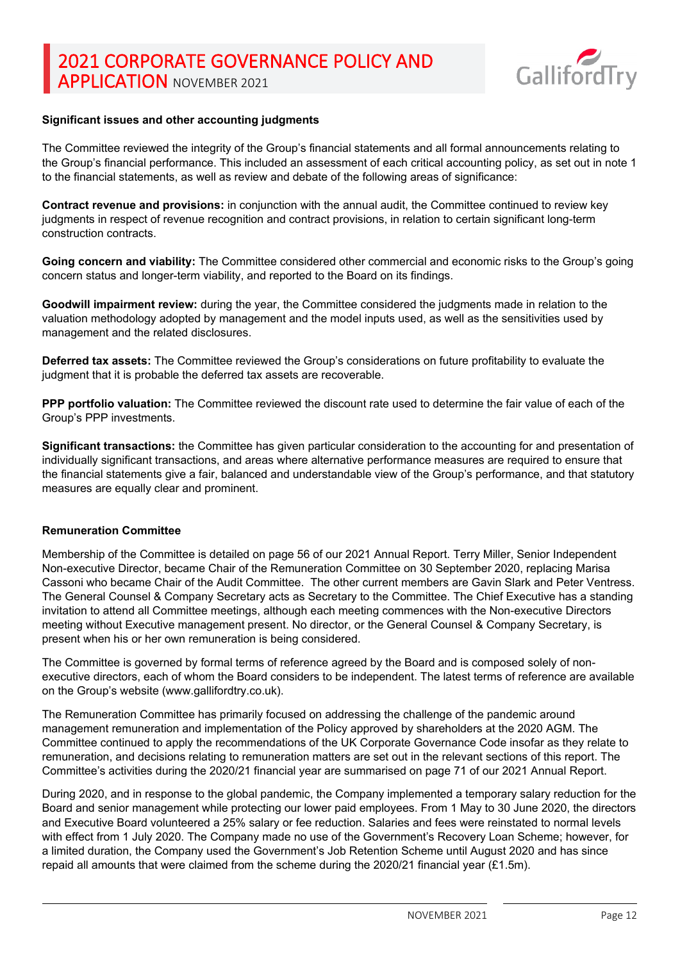

#### **Significant issues and other accounting judgments**

The Committee reviewed the integrity of the Group's financial statements and all formal announcements relating to the Group's financial performance. This included an assessment of each critical accounting policy, as set out in note 1 to the financial statements, as well as review and debate of the following areas of significance:

**Contract revenue and provisions:** in conjunction with the annual audit, the Committee continued to review key judgments in respect of revenue recognition and contract provisions, in relation to certain significant long-term construction contracts.

**Going concern and viability:** The Committee considered other commercial and economic risks to the Group's going concern status and longer-term viability, and reported to the Board on its findings.

**Goodwill impairment review:** during the year, the Committee considered the judgments made in relation to the valuation methodology adopted by management and the model inputs used, as well as the sensitivities used by management and the related disclosures.

**Deferred tax assets:** The Committee reviewed the Group's considerations on future profitability to evaluate the judgment that it is probable the deferred tax assets are recoverable.

**PPP portfolio valuation:** The Committee reviewed the discount rate used to determine the fair value of each of the Group's PPP investments.

**Significant transactions:** the Committee has given particular consideration to the accounting for and presentation of individually significant transactions, and areas where alternative performance measures are required to ensure that the financial statements give a fair, balanced and understandable view of the Group's performance, and that statutory measures are equally clear and prominent.

#### **Remuneration Committee**

Membership of the Committee is detailed on page 56 of our 2021 Annual Report. Terry Miller, Senior Independent Non-executive Director, became Chair of the Remuneration Committee on 30 September 2020, replacing Marisa Cassoni who became Chair of the Audit Committee. The other current members are Gavin Slark and Peter Ventress. The General Counsel & Company Secretary acts as Secretary to the Committee. The Chief Executive has a standing invitation to attend all Committee meetings, although each meeting commences with the Non-executive Directors meeting without Executive management present. No director, or the General Counsel & Company Secretary, is present when his or her own remuneration is being considered.

The Committee is governed by formal terms of reference agreed by the Board and is composed solely of nonexecutive directors, each of whom the Board considers to be independent. The latest terms of reference are available on the Group's website (www.gallifordtry.co.uk).

The Remuneration Committee has primarily focused on addressing the challenge of the pandemic around management remuneration and implementation of the Policy approved by shareholders at the 2020 AGM. The Committee continued to apply the recommendations of the UK Corporate Governance Code insofar as they relate to remuneration, and decisions relating to remuneration matters are set out in the relevant sections of this report. The Committee's activities during the 2020/21 financial year are summarised on page 71 of our 2021 Annual Report.

During 2020, and in response to the global pandemic, the Company implemented a temporary salary reduction for the Board and senior management while protecting our lower paid employees. From 1 May to 30 June 2020, the directors and Executive Board volunteered a 25% salary or fee reduction. Salaries and fees were reinstated to normal levels with effect from 1 July 2020. The Company made no use of the Government's Recovery Loan Scheme; however, for a limited duration, the Company used the Government's Job Retention Scheme until August 2020 and has since repaid all amounts that were claimed from the scheme during the 2020/21 financial year  $(E1.5m)$ .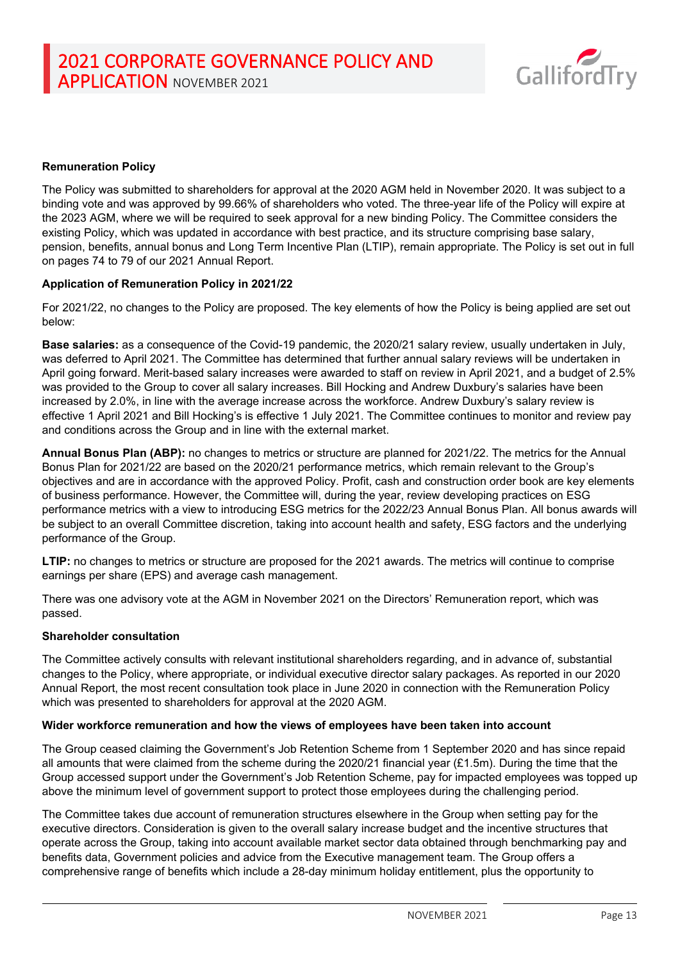

### **Remuneration Policy**

The Policy was submitted to shareholders for approval at the 2020 AGM held in November 2020. It was subject to a binding vote and was approved by 99.66% of shareholders who voted. The three-year life of the Policy will expire at the 2023 AGM, where we will be required to seek approval for a new binding Policy. The Committee considers the existing Policy, which was updated in accordance with best practice, and its structure comprising base salary, pension, benefits, annual bonus and Long Term Incentive Plan (LTIP), remain appropriate. The Policy is set out in full on pages 74 to 79 of our 2021 Annual Report.

### **Application of Remuneration Policy in 2021/22**

For 2021/22, no changes to the Policy are proposed. The key elements of how the Policy is being applied are set out below:

**Base salaries:** as a consequence of the Covid-19 pandemic, the 2020/21 salary review, usually undertaken in July, was deferred to April 2021. The Committee has determined that further annual salary reviews will be undertaken in April going forward. Merit-based salary increases were awarded to staff on review in April 2021, and a budget of 2.5% was provided to the Group to cover all salary increases. Bill Hocking and Andrew Duxbury's salaries have been increased by 2.0%, in line with the average increase across the workforce. Andrew Duxbury's salary review is effective 1 April 2021 and Bill Hocking's is effective 1 July 2021. The Committee continues to monitor and review pay and conditions across the Group and in line with the external market.

**Annual Bonus Plan (ABP):** no changes to metrics or structure are planned for 2021/22. The metrics for the Annual Bonus Plan for 2021/22 are based on the 2020/21 performance metrics, which remain relevant to the Group's objectives and are in accordance with the approved Policy. Profit, cash and construction order book are key elements of business performance. However, the Committee will, during the year, review developing practices on ESG performance metrics with a view to introducing ESG metrics for the 2022/23 Annual Bonus Plan. All bonus awards will be subject to an overall Committee discretion, taking into account health and safety, ESG factors and the underlying performance of the Group.

**LTIP:** no changes to metrics or structure are proposed for the 2021 awards. The metrics will continue to comprise earnings per share (EPS) and average cash management.

There was one advisory vote at the AGM in November 2021 on the Directors' Remuneration report, which was passed.

#### **Shareholder consultation**

The Committee actively consults with relevant institutional shareholders regarding, and in advance of, substantial changes to the Policy, where appropriate, or individual executive director salary packages. As reported in our 2020 Annual Report, the most recent consultation took place in June 2020 in connection with the Remuneration Policy which was presented to shareholders for approval at the 2020 AGM.

#### **Wider workforce remuneration and how the views of employees have been taken into account**

The Group ceased claiming the Government's Job Retention Scheme from 1 September 2020 and has since repaid all amounts that were claimed from the scheme during the 2020/21 financial year (£1.5m). During the time that the Group accessed support under the Government's Job Retention Scheme, pay for impacted employees was topped up above the minimum level of government support to protect those employees during the challenging period.

The Committee takes due account of remuneration structures elsewhere in the Group when setting pay for the executive directors. Consideration is given to the overall salary increase budget and the incentive structures that operate across the Group, taking into account available market sector data obtained through benchmarking pay and benefits data, Government policies and advice from the Executive management team. The Group offers a comprehensive range of benefits which include a 28-day minimum holiday entitlement, plus the opportunity to